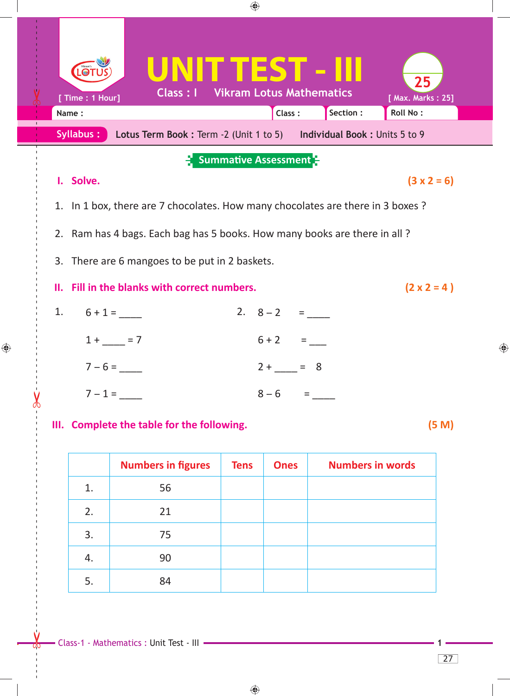

## **III. Complete the table for the following. (5 M)**

**Numbers in figures | Tens | Ones | Numbers in words** 1. 56 2. 21 3. 75 4. 90 5. 84

 $\bigoplus$